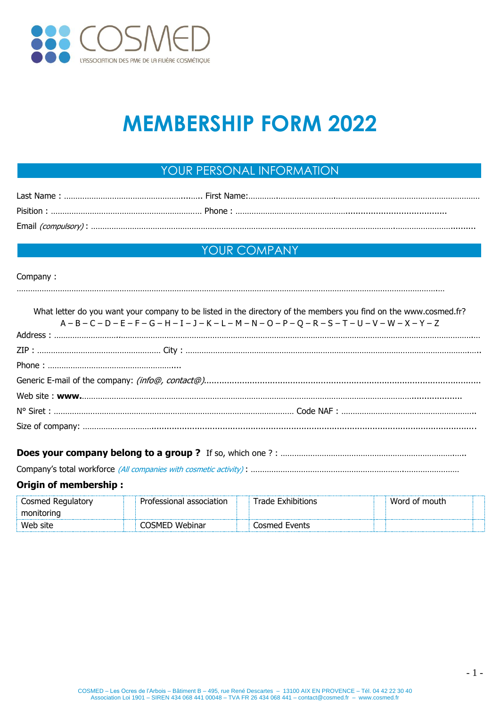

# **MEMBERSHIP FORM 2022**

# YOUR PERSONAL INFORMATION

# YOUR COMPANY

## Company :

| What letter do you want your company to be listed in the directory of the members you find on the www.cosmed.fr? |
|------------------------------------------------------------------------------------------------------------------|
| $A - B - C - D - E - F - G - H - I - J - K - L - M - N - O - P - Q - R - S - T - U - V - W - X - Y - Z$          |
|                                                                                                                  |
|                                                                                                                  |
|                                                                                                                  |
|                                                                                                                  |
|                                                                                                                  |
|                                                                                                                  |
|                                                                                                                  |
|                                                                                                                  |

## **Does your company belong to a group?** If so, which one?: ……………………………………………………………………………

Company's total workforce (All companies with cosmetic activity) : ………………………………………………………….……………………

## **Origin of membership :**

| Cosmed '<br>Regulatory | association<br>sional | .<br>ditions  | mouth<br>wn |  |
|------------------------|-----------------------|---------------|-------------|--|
| mr<br>orinc            |                       |               |             |  |
| Web site               | Webinar<br>'∽M⊢′      | Cosmed Events |             |  |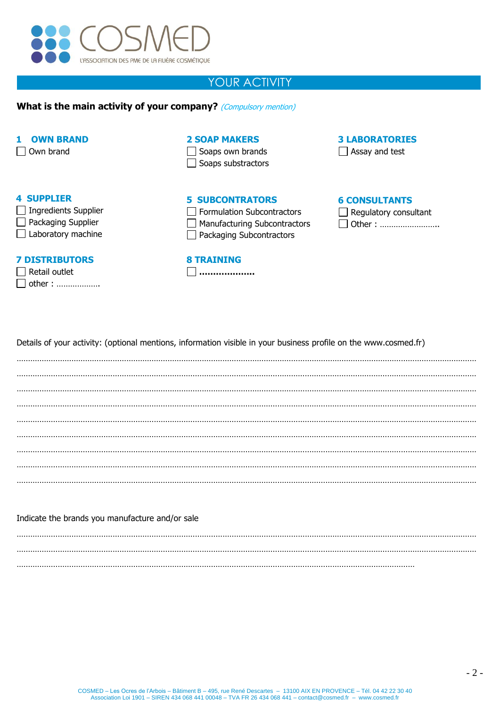

## YOUR ACTIVITY

## **What is the main activity of your company?** (Compulsory mention)

## **1 OWN BRAND**

□ Own brand

## **2 SOAP MAKERS**

 $\Box$  Soaps own brands  $\Box$  Soaps substractors

## **3 LABORATORIES**

 $\Box$  Assay and test

## **4 SUPPLIER**

| Ingredients Supplier |
|----------------------|
| Packaging Supplier   |

Laboratory machine

## **7 DISTRIBUTORS**

| $\Box$ Retail outlet |  |  |  |  |  |
|----------------------|--|--|--|--|--|
| $\Box$ other :       |  |  |  |  |  |

| <b>5 SUBCONTRATORS</b>     |
|----------------------------|
| Formulation Subcontractors |

- Manufacturing Subcontractors
- □ Packaging Subcontractors

#### **8 TRAINING**

**………………..**

## **6 CONSULTANTS**

| $\Box$ Regulatory consultant |  |  |  |  |  |  |  |
|------------------------------|--|--|--|--|--|--|--|
| $\Box$ Other :               |  |  |  |  |  |  |  |

Details of your activity: (optional mentions, information visible in your business profile on the www.cosmed.fr)

………………………………………………………………………………………………………………………………………………………………………………… . The contract of the contract of the contract of the contract of the contract of the contract of the contract of the contract of the contract of the contract of the contract of the contract of the contract of the contrac ………………………………………………………………………………………………………………………………………………………………………………… . The contract of the contract of the contract of the contract of the contract of the contract of the contract of the contract of the contract of the contract of the contract of the contract of the contract of the contrac ………………………………………………………………………………………………………………………………………………………………………………… ………………………………………………………………………………………………………………………………………………………………………………… ………………………………………………………………………………………………………………………………………………………………………………… ………………………………………………………………………………………………………………………………………………………………………………… …………………………………………………………………………………………………………………………………………………………………………………

## Indicate the brands you manufacture and/or sale

………………………………………………………………………………………………………………………………………………………………………………… ………………………………………………………………………………………………………………………………………………………………………………… …………………………………………………………………………………………………………………………………………………………